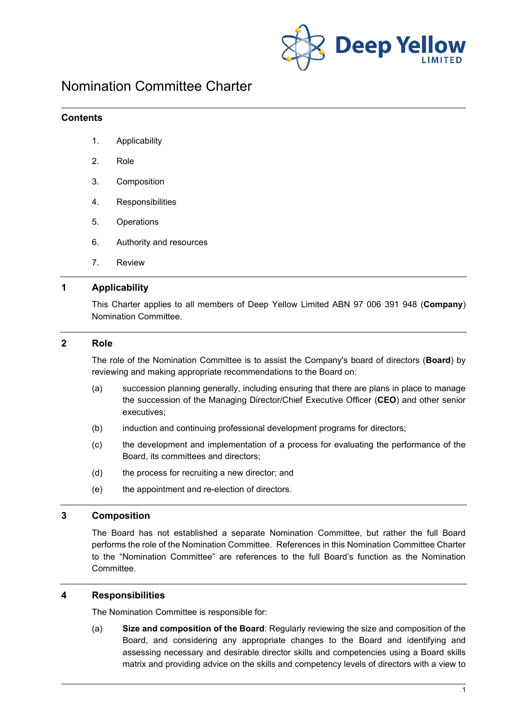

# Nomination Committee Charter

#### **Contents**

- 1. Applicability
- 2. Role
- 3. Composition
- 4. Responsibilities
- 5. Operations
- 6. Authority and resources
- 7. Review

## **1 Applicability**

This Charter applies to all members of Deep Yellow Limited ABN 97 006 391 948 (**Company**) Nomination Committee.

#### **2 Role**

The role of the Nomination Committee is to assist the Company's board of directors (**Board**) by reviewing and making appropriate recommendations to the Board on:

- (a) succession planning generally, including ensuring that there are plans in place to manage the succession of the Managing Director/Chief Executive Officer (**CEO**) and other senior executives;
- (b) induction and continuing professional development programs for directors;
- (c) the development and implementation of a process for evaluating the performance of the Board, its committees and directors;
- (d) the process for recruiting a new director; and
- (e) the appointment and re-election of directors.

#### **3 Composition**

The Board has not established a separate Nomination Committee, but rather the full Board performs the role of the Nomination Committee. References in this Nomination Committee Charter to the "Nomination Committee" are references to the full Board's function as the Nomination Committee.

#### **4 Responsibilities**

The Nomination Committee is responsible for:

(a) **Size and composition of the Board**: Regularly reviewing the size and composition of the Board, and considering any appropriate changes to the Board and identifying and assessing necessary and desirable director skills and competencies using a Board skills matrix and providing advice on the skills and competency levels of directors with a view to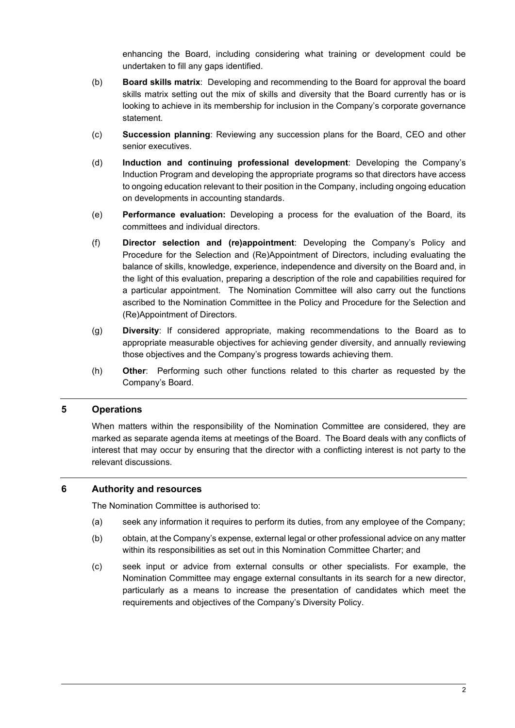enhancing the Board, including considering what training or development could be undertaken to fill any gaps identified.

- (b) **Board skills matrix**: Developing and recommending to the Board for approval the board skills matrix setting out the mix of skills and diversity that the Board currently has or is looking to achieve in its membership for inclusion in the Company's corporate governance statement.
- (c) **Succession planning**: Reviewing any succession plans for the Board, CEO and other senior executives.
- (d) **Induction and continuing professional development**: Developing the Company's Induction Program and developing the appropriate programs so that directors have access to ongoing education relevant to their position in the Company, including ongoing education on developments in accounting standards.
- (e) **Performance evaluation:** Developing a process for the evaluation of the Board, its committees and individual directors.
- (f) **Director selection and (re)appointment**: Developing the Company's Policy and Procedure for the Selection and (Re)Appointment of Directors, including evaluating the balance of skills, knowledge, experience, independence and diversity on the Board and, in the light of this evaluation, preparing a description of the role and capabilities required for a particular appointment. The Nomination Committee will also carry out the functions ascribed to the Nomination Committee in the Policy and Procedure for the Selection and (Re)Appointment of Directors.
- (g) **Diversity**: If considered appropriate, making recommendations to the Board as to appropriate measurable objectives for achieving gender diversity, and annually reviewing those objectives and the Company's progress towards achieving them.
- (h) **Other**: Performing such other functions related to this charter as requested by the Company's Board.

## **5 Operations**

When matters within the responsibility of the Nomination Committee are considered, they are marked as separate agenda items at meetings of the Board. The Board deals with any conflicts of interest that may occur by ensuring that the director with a conflicting interest is not party to the relevant discussions.

#### **6 Authority and resources**

The Nomination Committee is authorised to:

- (a) seek any information it requires to perform its duties, from any employee of the Company;
- (b) obtain, at the Company's expense, external legal or other professional advice on any matter within its responsibilities as set out in this Nomination Committee Charter; and
- (c) seek input or advice from external consults or other specialists. For example, the Nomination Committee may engage external consultants in its search for a new director, particularly as a means to increase the presentation of candidates which meet the requirements and objectives of the Company's Diversity Policy.